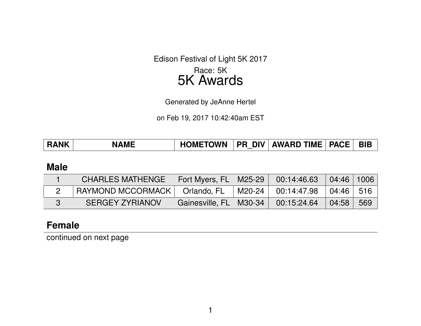Edison Festival of Light 5K 2017

## Race: 5K 5K Awards

Generated by JeAnne Hertel

on Feb 19, 2017 10:42:40am EST

| <b>HOMETOWN</b><br><b>PR DIV AWARD TIME PACE</b><br><b>RANK</b><br><b>NAME</b> |  |  |  |  |  |  | <b>BIB</b> |
|--------------------------------------------------------------------------------|--|--|--|--|--|--|------------|
|--------------------------------------------------------------------------------|--|--|--|--|--|--|------------|

#### **Male**

| <b>CHARLES MATHENGE</b> | Fort Myers, FL  | M25-29   | 00:14:46.63 | 04:46 1006   |     |
|-------------------------|-----------------|----------|-------------|--------------|-----|
| RAYMOND MCCORMACK       | Orlando, FL     | M20-24   | 00:14:47.98 | $104:46$ 516 |     |
| <b>SERGEY ZYRIANOV</b>  | Gainesville, FL | ∣ M30-34 | 00:15:24.64 | 04:58        | 569 |

## **Female**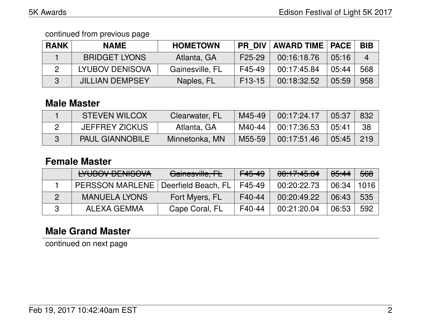| <b>RANK</b> | <b>NAME</b>            | <b>HOMETOWN</b> | <b>PR DIV</b>       | <b>AWARD TIME   PACE</b> |       | <b>BIB</b>     |
|-------------|------------------------|-----------------|---------------------|--------------------------|-------|----------------|
|             | <b>BRIDGET LYONS</b>   | Atlanta, GA     | F <sub>25</sub> -29 | 00:16:18.76              | 05:16 | $\overline{4}$ |
|             | <b>LYUBOV DENISOVA</b> | Gainesville, FL | F45-49              | 00:17:45.84              | 05:44 | 568            |
|             | <b>JILLIAN DEMPSEY</b> | Naples, FL      | F <sub>13</sub> -15 | 00:18:32.52              | 05:59 | 958            |

## **Male Master**

| <b>STEVEN WILCOX</b>   | Clearwater, FL | M45-49 | 00:17:24.17 | 05:37 | 832 |
|------------------------|----------------|--------|-------------|-------|-----|
| <b>JEFFREY ZICKUS</b>  | Atlanta, GA    | M40-44 | 00:17:36.53 | 05:41 | 38  |
| <b>PAUL GIANNOBILE</b> | Minnetonka, MN | M55-59 | 00:17:51.46 | 05:45 | 219 |

## **Female Master**

| LVLIDOV DENICOVA<br><b>LIUDUV DLIVIOUVA</b> | Gainesville, FL     | <del>F45-49</del> | 00:17:45.84 | <del>05:44</del> | 568  |
|---------------------------------------------|---------------------|-------------------|-------------|------------------|------|
| <b>PERSSON MARLENE</b>                      | Deerfield Beach, FL | F45-49            | 00:20:22.73 | 06:34            | 1016 |
| <b>MANUELA LYONS</b>                        | Fort Myers, FL      | F40-44            | 00:20:49.22 | 06:43            | 535  |
| ALEXA GEMMA                                 | Cape Coral, FL      | F40-44            | 00:21:20.04 | 06:53            | 592  |

# **Male Grand Master**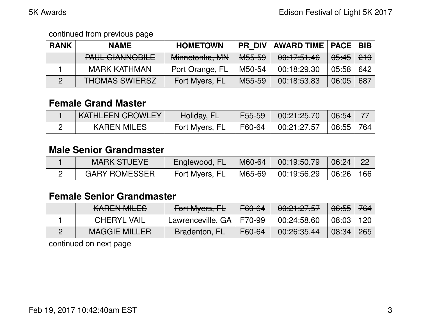| <b>RANK</b> | <b>NAME</b>                                 | <b>HOMETOWN</b> | <b>PR DIV</b>     | <b>AWARD TIME   PACE   BIB  </b> |                                  |     |
|-------------|---------------------------------------------|-----------------|-------------------|----------------------------------|----------------------------------|-----|
|             | DALIL CIANINIODILE<br><b>TAUL GIABBOULL</b> | Minnetonka, MN  | <del>M55-59</del> | 00:17:51.46                      | <del>05:45</del> 2 <del>19</del> |     |
|             | <b>MARK KATHMAN</b>                         | Port Orange, FL | M50-54            | 00:18:29.30                      | 05:58                            | 642 |
|             | <b>THOMAS SWIERSZ</b>                       | Fort Myers, FL  | M55-59            | 00:18:53.83                      | 06:05                            | 687 |

## **Female Grand Master**

| <b>KATHLEEN CROWLEY</b> | Holiday, FL    | F55-59 | $00:21:25.70$ 06:54                     |           |  |
|-------------------------|----------------|--------|-----------------------------------------|-----------|--|
| <b>KAREN MILES</b>      | Fort Myers, FL |        | $\mid$ F60-64 $\mid$ 00:21:27.57 $\mid$ | 06:55 764 |  |

## **Male Senior Grandmaster**

| <b>MARK STUEVE</b>   | Englewood, FL  | M60-64 | 00:19:50.79 | 06:24 | $\backslash$ 22 $\backslash$ |
|----------------------|----------------|--------|-------------|-------|------------------------------|
| <b>GARY ROMESSER</b> | Fort Myers, FL | M65-69 | 00:19:56.29 | 06:26 | 166                          |

## **Female Senior Grandmaster**

| $L$ ADENIMILEQ<br>IVANLIV IVILLO | Fort Myers, FL             | <del>F60-64</del> | 00:21:27.57 | <del>06:55</del> 764 |       |
|----------------------------------|----------------------------|-------------------|-------------|----------------------|-------|
| <b>CHERYL VAIL</b>               | Lawrenceville, GA   F70-99 |                   | 00:24:58.60 | 08:03                | 120 l |
| <b>MAGGIE MILLER</b>             | Bradenton, FL              | F60-64            | 00:26:35.44 | 08:34                | 265   |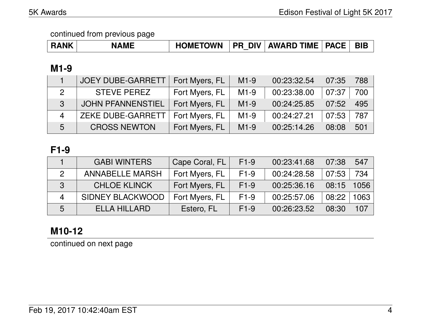| <b>RANK</b> | <b>NAME</b> | <b>HOMETOWN</b> | <b>PR DIV</b> | <b>AWARD TIME   PACE  </b> |  | <b>BIE</b> |
|-------------|-------------|-----------------|---------------|----------------------------|--|------------|
|-------------|-------------|-----------------|---------------|----------------------------|--|------------|

## **M1-9**

|                          | <b>JOEY DUBE-GARRETT</b> | Fort Myers, FL | $M1-9$ | 00:23:32.54 | 07:35 | 788 |
|--------------------------|--------------------------|----------------|--------|-------------|-------|-----|
|                          | <b>STEVE PEREZ</b>       | Fort Myers, FL | $M1-9$ | 00:23:38.00 | 07:37 | 700 |
| 3                        | <b>JOHN PFANNENSTIEL</b> | Fort Myers, FL | $M1-9$ | 00:24:25.85 | 07:52 | 495 |
| $\boldsymbol{\varDelta}$ | <b>ZEKE DUBE-GARRETT</b> | Fort Myers, FL | $M1-9$ | 00:24:27.21 | 07:53 | 787 |
| 5                        | <b>CROSS NEWTON</b>      | Fort Myers, FL | $M1-9$ | 00:25:14.26 | 08:08 | 501 |

## **F1-9**

|               | <b>GABI WINTERS</b>     | Cape Coral, FL | $F1-9$ | 00:23:41.68 | 07:38 | 547  |
|---------------|-------------------------|----------------|--------|-------------|-------|------|
| $\mathcal{P}$ | <b>ANNABELLE MARSH</b>  | Fort Myers, FL | $F1-9$ | 00:24:28.58 | 07:53 | 734  |
| 3             | <b>CHLOE KLINCK</b>     | Fort Myers, FL | $F1-9$ | 00:25:36.16 | 08:15 | 1056 |
| 4             | <b>SIDNEY BLACKWOOD</b> | Fort Myers, FL | $F1-9$ | 00:25:57.06 | 08:22 | 1063 |
| 5             | <b>ELLA HILLARD</b>     | Estero, FL     | $F1-9$ | 00:26:23.52 | 08:30 | 107  |

# **M10-12**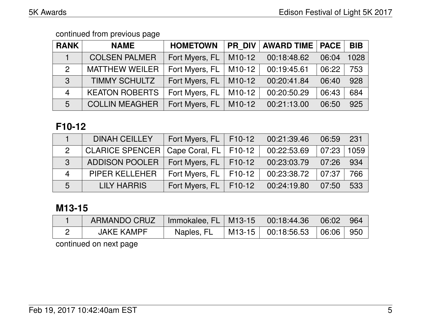| <b>RANK</b>    | <b>NAME</b>           | <b>HOMETOWN</b> | <b>PR DIV</b>       | <b>AWARD TIME   PACE  </b> |       | <b>BIB</b> |
|----------------|-----------------------|-----------------|---------------------|----------------------------|-------|------------|
|                | <b>COLSEN PALMER</b>  | Fort Myers, FL  | M <sub>10</sub> -12 | 00:18:48.62                | 06:04 | 1028       |
| $\overline{2}$ | <b>MATTHEW WEILER</b> | Fort Myers, FL  | M10-12              | 00:19:45.61                | 06:22 | 753        |
| $\mathbf{3}$   | <b>TIMMY SCHULTZ</b>  | Fort Myers, FL  | M10-12              | 00:20:41.84                | 06:40 | 928        |
| $\overline{4}$ | <b>KEATON ROBERTS</b> | Fort Myers, FL  | $M10-12$            | 00:20:50.29                | 06:43 | 684        |
| 5              | <b>COLLIN MEAGHER</b> | Fort Myers, FL  | M10-12              | 00:21:13.00                | 06:50 | 925        |

## **F10-12**

|                | <b>DINAH CEILLEY</b>     | Fort Myers, $FL$   F10-12             | 00:21:39.46 | 06:59 | 231  |
|----------------|--------------------------|---------------------------------------|-------------|-------|------|
| $\mathbf{2}$   | <b>CLARICE SPENCER  </b> | $\vert$ Cape Coral, FL $\vert$ F10-12 | 00:22:53.69 | 07:23 | 1059 |
| $\mathbf{R}$   | ADDISON POOLER           | Fort Myers, $FL$   F10-12             | 00:23:03.79 | 07:26 | 934  |
| $\overline{4}$ | <b>PIPER KELLEHER</b>    | Fort Myers, $FL$   F10-12             | 00:23:38.72 | 07:37 | 766  |
| 5              | <b>LILY HARRIS</b>       | Fort Myers, FL   F10-12               | 00:24:19.80 | 07:50 | 533  |

# **M13-15**

| ARMANDO CRUZ | Immokalee, FL   M13-15 | $\downarrow$ 00:18:44.36           | $\mid$ 06:02 $\mid$ 964 |  |
|--------------|------------------------|------------------------------------|-------------------------|--|
| JAKE KAMPF   | Naples, FL             | M13-15   00:18:56.53   06:06   950 |                         |  |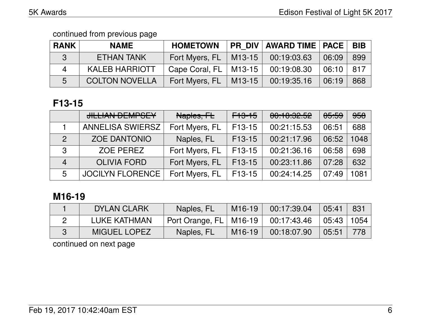| <b>RANK</b> | <b>NAME</b>           | <b>HOMETOWN</b>           | <b>PR DIV AWARD TIME   PACE  </b> |                     | ' BIB |
|-------------|-----------------------|---------------------------|-----------------------------------|---------------------|-------|
| 3           | <b>ETHAN TANK</b>     | Fort Myers, $FL$   M13-15 | 00:19:03.63                       | 106:09              | 899   |
| 4           | <b>KALEB HARRIOTT</b> | Cape Coral, $FL$   M13-15 | 00:19:08.30                       | $\mid$ 06:10 $\mid$ | -817  |
| 5           | <b>COLTON NOVELLA</b> | Fort Myers, $FL$   M13-15 | 00:19:35.16                       | 06:19               | 868   |

# **F13-15**

|               | <b>JILLIAN DEMPSEY</b>  | Naples, FL     | <del>F13-15</del>   | 00:10:32.52 | <del>05:59</del> | <del>958</del> |
|---------------|-------------------------|----------------|---------------------|-------------|------------------|----------------|
|               | <b>ANNELISA SWIERSZ</b> | Fort Myers, FL | F13-15              | 00:21:15.53 | 06:51            | 688            |
| $\mathcal{P}$ | <b>ZOE DANTONIO</b>     | Naples, FL     | $F13-15$            | 00:21:17.96 | 06:52            | 1048           |
| 3             | ZOE PEREZ               | Fort Myers, FL | F <sub>13</sub> -15 | 00:21:36.16 | 06:58            | 698            |
| 4             | <b>OLIVIA FORD</b>      | Fort Myers, FL | $F13-15$            | 00:23:11.86 | 07:28            | 632            |
| 5             | <b>JOCILYN FLORENCE</b> | Fort Myers, FL | $F13-15$            | 00:24:14.25 | 07:49            | 1081           |

# **M16-19**

| DYLAN CLARK         | Naples, FL               | M <sub>16</sub> -19 | 00:17:39.04 | 05:41        | 831 |
|---------------------|--------------------------|---------------------|-------------|--------------|-----|
| LUKE KATHMAN        | Port Orange, FL   M16-19 |                     | 00:17:43.46 | 05:43   1054 |     |
| <b>MIGUEL LOPEZ</b> | Naples, FL               | M <sub>16</sub> -19 | 00:18:07.90 | 05:51        | 778 |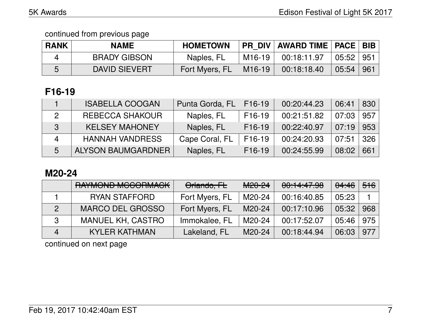| <b>RANK</b> | <b>NAME</b>          | <b>HOMETOWN</b> |          | PR DIV   AWARD TIME   PACE   BIB |                |                   |
|-------------|----------------------|-----------------|----------|----------------------------------|----------------|-------------------|
|             | <b>BRADY GIBSON</b>  | Naples, FL      | M16-19 l | 00:18:11.97                      | 05:52   951    |                   |
| n           | <b>DAVID SIEVERT</b> | Fort Myers, FL  | M16-19   | 00:18:18.40                      | $\sqrt{05:54}$ | $\vert 961 \vert$ |

# **F16-19**

|   | <b>ISABELLA COOGAN</b> | Punta Gorda, FL | F <sub>16</sub> -19 | 00:20:44.23 | 06:41 | 830 |
|---|------------------------|-----------------|---------------------|-------------|-------|-----|
|   | REBECCA SHAKOUR        | Naples, FL      | F <sub>16</sub> -19 | 00:21:51.82 | 07:03 | 957 |
| 3 | <b>KELSEY MAHONEY</b>  | Naples, FL      | $F16-19$            | 00:22:40.97 | 07:19 | 953 |
|   | <b>HANNAH VANDRESS</b> | Cape Coral, FL  | F <sub>16</sub> -19 | 00:24:20.93 | 07:51 | 326 |
| 5 | ALYSON BAUMGARDNER     | Naples, FL      | $F16-19$            | 00:24:55.99 | 08:02 | 661 |

# **M20-24**

|   | RAYMOND MCCORMACK        | Orlando, FL    | M <sub>20</sub> -24 | 00:14:47.98 | <del>04:46</del> | <del>516</del> ∣ |
|---|--------------------------|----------------|---------------------|-------------|------------------|------------------|
|   | <b>RYAN STAFFORD</b>     | Fort Myers, FL | M20-24              | 00:16:40.85 | 05:23            |                  |
|   | <b>MARCO DEL GROSSO</b>  | Fort Myers, FL | M20-24              | 00:17:10.96 | 05:32            | 968              |
| 3 | <b>MANUEL KH, CASTRO</b> | Immokalee, FL  | M20-24              | 00:17:52.07 | 05:46            | 975              |
|   | <b>KYLER KATHMAN</b>     | Lakeland, FL   | M <sub>20</sub> -24 | 00:18:44.94 | 06:03            | 977              |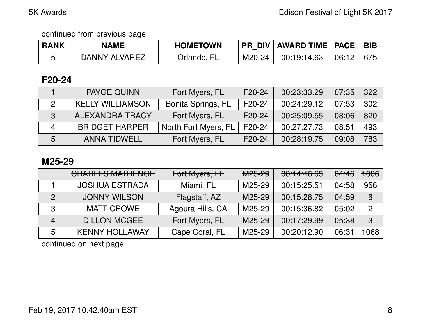| <b>RANK</b> | <b>NAME</b>   | <b>HOMETOWN</b> |        | PR DIV   AWARD TIME   PACE |       | <b>BIB</b> |
|-------------|---------------|-----------------|--------|----------------------------|-------|------------|
|             | DANNY ALVAREZ | Drlando, FL     | M20-24 | 00:19:14.63                | 06:12 | 675        |

## **F20-24**

|               | <b>PAYGE QUINN</b>      | Fort Myers, FL       | F20-24 | 00:23:33.29 | 07:35 | 322 |
|---------------|-------------------------|----------------------|--------|-------------|-------|-----|
| $\mathcal{P}$ | <b>KELLY WILLIAMSON</b> | Bonita Springs, FL   | F20-24 | 00:24:29.12 | 07:53 | 302 |
| -3            | <b>ALEXANDRA TRACY</b>  | Fort Myers, FL       | F20-24 | 00:25:09.55 | 08:06 | 820 |
|               | <b>BRIDGET HARPER</b>   | North Fort Myers, FL | F20-24 | 00:27:27.73 | 08:51 | 493 |
| 5             | <b>ANNA TIDWELL</b>     | Fort Myers, FL       | F20-24 | 00:28:19.75 | 09:08 | 783 |

### **M25-29**

|   | <u>CLIADI EC MATUEMOE</u><br><b>VIIALLEO MATTENUE</b> | Fort Myers, FL   | $MOE$ $QQ$<br><b>IVICUTEU</b> | 00:14:46.63 | 04:46 | <del>1006</del> |
|---|-------------------------------------------------------|------------------|-------------------------------|-------------|-------|-----------------|
|   | <b>JOSHUA ESTRADA</b>                                 | Miami, FL        | M25-29                        | 00:15:25.51 | 04:58 | 956             |
|   | <b>JONNY WILSON</b>                                   | Flagstaff, AZ    | M25-29                        | 00:15:28.75 | 04:59 | 6               |
| 3 | <b>MATT CROWE</b>                                     | Agoura Hills, CA | M25-29                        | 00:15:36.82 | 05:02 | 2               |
| 4 | <b>DILLON MCGEE</b>                                   | Fort Myers, FL   | M25-29                        | 00:17:29.99 | 05:38 | $\mathbf{3}$    |
| 5 | <b>KENNY HOLLAWAY</b>                                 | Cape Coral, FL   | M25-29                        | 00:20:12.90 | 06:31 | 068             |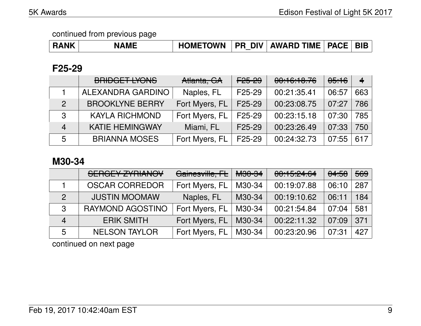| <b>RANK</b> | <b>NAME</b> | HOMETOWN   PR DIV   AWARD TIME   PACE   BIB |  |  |  |  |
|-------------|-------------|---------------------------------------------|--|--|--|--|
|-------------|-------------|---------------------------------------------|--|--|--|--|

### **F25-29**

|                | BRIDGET LYONS          | Atlanta, GA    | <del>F25-29</del>   | 00:16:18.76 | <del>05:16</del> | $\overline{\mathbf{4}}$ |
|----------------|------------------------|----------------|---------------------|-------------|------------------|-------------------------|
|                | ALEXANDRA GARDINO      | Naples, FL     | F <sub>25</sub> -29 | 00:21:35.41 | 06:57            | 663                     |
| $\mathcal{P}$  | <b>BROOKLYNE BERRY</b> | Fort Myers, FL | F25-29              | 00:23:08.75 | 07:27            | 786                     |
| 3              | <b>KAYLA RICHMOND</b>  | Fort Myers, FL | F <sub>25</sub> -29 | 00:23:15.18 | 07:30            | 785                     |
| $\overline{4}$ | <b>KATIE HEMINGWAY</b> | Miami, FL      | F <sub>25</sub> -29 | 00:23:26.49 | 07:33            | 750                     |
| 5              | <b>BRIANNA MOSES</b>   | Fort Myers, FL | F25-29              | 00:24:32.73 | 07:55            | 617                     |

### **M30-34**

|                | <b>SERGEY ZYRIANOV</b> | Gainesville, FL | <del>M30-34</del> | 00:15:24.64 | <del>04:58</del> | 569 |
|----------------|------------------------|-----------------|-------------------|-------------|------------------|-----|
|                | <b>OSCAR CORREDOR</b>  | Fort Myers, FL  | M30-34            | 00:19:07.88 | 06:10            | 287 |
| $\overline{2}$ | <b>JUSTIN MOOMAW</b>   | Naples, FL      | M30-34            | 00:19:10.62 | 06:11            | 184 |
| 3              | RAYMOND AGOSTINO       | Fort Myers, FL  | M30-34            | 00:21:54.84 | 07:04            | 581 |
| $\overline{4}$ | <b>ERIK SMITH</b>      | Fort Myers, FL  | M30-34            | 00:22:11.32 | 07:09            | 371 |
| 5              | <b>NELSON TAYLOR</b>   | Fort Myers, FL  | M30-34            | 00:23:20.96 | 07:31            | 427 |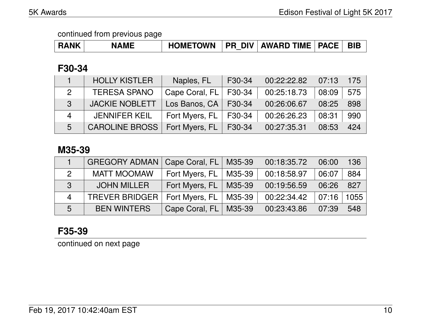| <b>RANK</b> | <b>NAME</b> | <b>HOMETOWN</b> | <b>DIV</b><br><b>PR</b> | <b>AWARD TIME</b> | <b>PACE</b> | <b>BIB</b> |
|-------------|-------------|-----------------|-------------------------|-------------------|-------------|------------|
|-------------|-------------|-----------------|-------------------------|-------------------|-------------|------------|

## **F30-34**

|                | <b>HOLLY KISTLER</b>  | Naples, FL                | F30-34 | 00:22:22.82 | 07:13 | 175 |
|----------------|-----------------------|---------------------------|--------|-------------|-------|-----|
| $\overline{2}$ | <b>TERESA SPANO</b>   | Cape Coral, FL            | F30-34 | 00:25:18.73 | 08:09 | 575 |
| 3              | <b>JACKIE NOBLETT</b> | Los Banos, $CA$   F30-34  |        | 00:26:06.67 | 08:25 | 898 |
| $\overline{4}$ | <b>JENNIFER KEIL</b>  | Fort Myers, $FL$   F30-34 |        | 00:26:26.23 | 08:31 | 990 |
| 5              | <b>CAROLINE BROSS</b> | Fort Myers, $FL$   F30-34 |        | 00:27:35.31 | 08:53 | 424 |

### **M35-39**

|                  | <b>GREGORY ADMAN</b> | Cape Coral, FL   M35-39   | 00:18:35.72 | 06:00 | 136  |
|------------------|----------------------|---------------------------|-------------|-------|------|
| $\overline{2}$   | <b>MATT MOOMAW</b>   | Fort Myers, $FL$   M35-39 | 00:18:58.97 | 06:07 | 884  |
| $\mathbf{3}$     | <b>JOHN MILLER</b>   | Fort Myers, $FL$   M35-39 | 00:19:56.59 | 06:26 | 827  |
| $\boldsymbol{4}$ | TREVER BRIDGER I     | Fort Myers, $FL$   M35-39 | 00:22:34.42 | 07:16 | 1055 |
| 5                | <b>BEN WINTERS</b>   | Cape Coral, FL   M35-39   | 00:23:43.86 | 07:39 | 548  |

## **F35-39**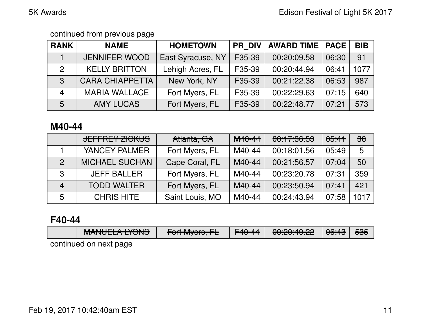| <b>RANK</b>    | <b>NAME</b>            | <b>HOMETOWN</b>   | <b>PR DIV</b> | <b>AWARD TIME</b> | <b>PACE</b> | <b>BIB</b> |
|----------------|------------------------|-------------------|---------------|-------------------|-------------|------------|
|                | <b>JENNIFER WOOD</b>   | East Syracuse, NY | F35-39        | 00:20:09.58       | 06:30       | 91         |
| $\overline{2}$ | <b>KELLY BRITTON</b>   | Lehigh Acres, FL  | F35-39        | 00:20:44.94       | 06:41       | 1077       |
| 3              | <b>CARA CHIAPPETTA</b> | New York, NY      | F35-39        | 00:21:22.38       | 06:53       | 987        |
| $\overline{4}$ | <b>MARIA WALLACE</b>   | Fort Myers, FL    | F35-39        | 00:22:29.63       | 07:15       | 640        |
| 5              | <b>AMY LUCAS</b>       | Fort Myers, FL    | F35-39        | 00:22:48.77       | 07:21       | 573        |

### **M40-44**

|                | <u>JEFFDEV ZIAVIJO</u><br><u>JELTIJE LZIVINJO</u> | Atlanta, GA     | M <sub>40-44</sub> | 00:17:36.53 | <del>05:41</del> | $\frac{\partial}{\partial \theta}$ |
|----------------|---------------------------------------------------|-----------------|--------------------|-------------|------------------|------------------------------------|
|                | YANCEY PALMER                                     | Fort Myers, FL  | M40-44             | 00:18:01.56 | 05:49            | 5                                  |
| $\mathcal{P}$  | <b>MICHAEL SUCHAN</b>                             | Cape Coral, FL  | M40-44             | 00:21:56.57 | 07:04            | 50                                 |
| 3              | <b>JEFF BALLER</b>                                | Fort Myers, FL  | M40-44             | 00:23:20.78 | 07:31            | 359                                |
| $\overline{4}$ | <b>TODD WALTER</b>                                | Fort Myers, FL  | M40-44             | 00:23:50.94 | 07:41            | 421                                |
| 5              | <b>CHRIS HITE</b>                                 | Saint Louis, MO | $M40-44$           | 00:24:43.94 | 07:58            | 1017                               |

### **F40-44**

| NANDIELA IVANIO<br><u>MANULLA LIUNU</u> | $\Gamma$ <sub>art</sub> $M_{\text{max}}$ $\Gamma$<br>$T$ UILIVIYEIS, IE | F <sub>40</sub> -44 | 0.0000000<br><del>UU.ZU.TJ.<i>C</i>Z</del> | $\Omega$ . $\Omega$<br>᠊ᠳᡡ᠊᠇ᠣ | 535 |
|-----------------------------------------|-------------------------------------------------------------------------|---------------------|--------------------------------------------|-------------------------------|-----|
| Lontinuad on nayt nana                  |                                                                         |                     |                                            |                               |     |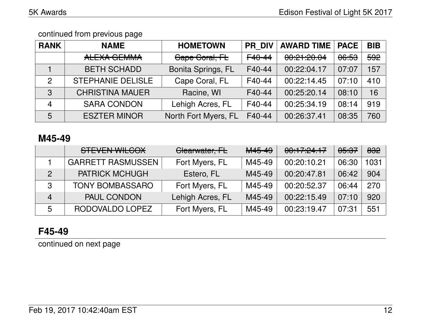| <b>RANK</b>    | <b>NAME</b>              | <b>HOMETOWN</b>      | <b>PR DIV</b>       | <b>AWARD TIME</b> | <b>PACE</b>      | <b>BIB</b> |
|----------------|--------------------------|----------------------|---------------------|-------------------|------------------|------------|
|                | ALEXA GEMMA              | Cape Coral, FL       | F <sub>40</sub> -44 | 00:21:20.04       | <del>06:53</del> | 592        |
|                | <b>BETH SCHADD</b>       | Bonita Springs, FL   | F40-44              | 00:22:04.17       | 07:07            | 157        |
| 2              | <b>STEPHANIE DELISLE</b> | Cape Coral, FL       | F40-44              | 00:22:14.45       | 07:10            | 410        |
| 3              | <b>CHRISTINA MAUER</b>   | Racine, WI           | F40-44              | 00:25:20.14       | 08:10            | 16         |
| $\overline{4}$ | <b>SARA CONDON</b>       | Lehigh Acres, FL     | F40-44              | 00:25:34.19       | 08:14            | 919        |
| 5              | <b>ESZTER MINOR</b>      | North Fort Myers, FL | F40-44              | 00:26:37.41       | 08:35            | 760        |

### **M45-49**

|               | <b>STEVEN WILCOX</b>     | Clearwater, FL   | M45-49 | 00:17:24.17 | <del>05:37</del> | 832  |
|---------------|--------------------------|------------------|--------|-------------|------------------|------|
|               | <b>GARRETT RASMUSSEN</b> | Fort Myers, FL   | M45-49 | 00:20:10.21 | 06:30            | 1031 |
| $\mathcal{P}$ | <b>PATRICK MCHUGH</b>    | Estero, FL       | M45-49 | 00:20:47.81 | 06:42            | 904  |
| 3             | <b>TONY BOMBASSARO</b>   | Fort Myers, FL   | M45-49 | 00:20:52.37 | 06:44            | 270  |
| 4             | PAUL CONDON              | Lehigh Acres, FL | M45-49 | 00:22:15.49 | 07:10            | 920  |
| 5             | RODOVALDO LOPEZ          | Fort Myers, FL   | M45-49 | 00:23:19.47 | 07:31            | 551  |

# **F45-49**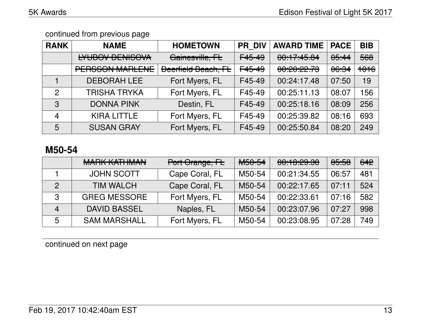| <b>RANK</b>   | <b>NAME</b>            | <b>HOMETOWN</b>            | <b>PR DIV</b>      | <b>AWARD TIME</b>                           | <b>PACE</b> | <b>BIB</b> |
|---------------|------------------------|----------------------------|--------------------|---------------------------------------------|-------------|------------|
|               | <b>LYUBOV DENISOVA</b> | Gainesville, FL            | F45-49             | 00:17:45.84                                 | 05:44       | 568        |
|               | <b>PERSSON MARLENE</b> | <b>Deerfield Beach, FL</b> | F <sub>45-49</sub> | <u>aa.aa.aa za</u><br><u>UU. ZU. ZZ. TU</u> | 06:34       | 1016       |
|               | <b>DEBORAH LEE</b>     | Fort Myers, FL             | F45-49             | 00:24:17.48                                 | 07:50       | 19         |
| $\mathcal{P}$ | <b>TRISHA TRYKA</b>    | Fort Myers, FL             | F45-49             | 00:25:11.13                                 | 08:07       | 156        |
| 3             | <b>DONNA PINK</b>      | Destin, FL                 | F45-49             | 00:25:18.16                                 | 08:09       | 256        |
| 4             | <b>KIRA LITTLE</b>     | Fort Myers, FL             | F45-49             | 00:25:39.82                                 | 08:16       | 693        |
| 5             | <b>SUSAN GRAY</b>      | Fort Myers, FL             | F45-49             | 00:25:50.84                                 | 08:20       | 249        |

### **M50-54**

|                | MADIZ IZATLIMANI<br><b>WIALUA IVALLUVIAIN</b> | Port Orange, FL | MEDE4<br><b>MUUTUF</b> | 0.10,00,00<br><b>UU.TU. 40. JU</b> | 05:58 | 642 |
|----------------|-----------------------------------------------|-----------------|------------------------|------------------------------------|-------|-----|
|                | <b>JOHN SCOTT</b>                             | Cape Coral, FL  | M50-54                 | 00:21:34.55                        | 06:57 | 481 |
| $\mathcal{P}$  | <b>TIM WALCH</b>                              | Cape Coral, FL  | M50-54                 | 00:22:17.65                        | 07:11 | 524 |
| 3              | <b>GREG MESSORE</b>                           | Fort Myers, FL  | M50-54                 | 00:22:33.61                        | 07:16 | 582 |
| $\overline{4}$ | <b>DAVID BASSEL</b>                           | Naples, FL      | M50-54                 | 00:23:07.96                        | 07:27 | 998 |
| 5              | <b>SAM MARSHALL</b>                           | Fort Myers, FL  | M50-54                 | 00:23:08.95                        | 07:28 | 749 |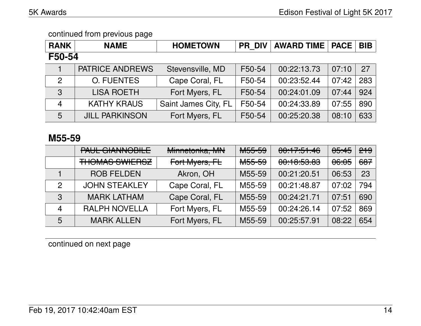| <b>RANK</b>    | <b>NAME</b>            | <b>HOMETOWN</b>      | <b>PR DIV</b> | <b>AWARD TIME   PACE</b> |       | <b>BIB</b> |  |  |
|----------------|------------------------|----------------------|---------------|--------------------------|-------|------------|--|--|
| F50-54         |                        |                      |               |                          |       |            |  |  |
|                | <b>PATRICE ANDREWS</b> | Stevensville, MD     | F50-54        | 00:22:13.73              | 07:10 | 27         |  |  |
| 2              | <b>O. FUENTES</b>      | Cape Coral, FL       | F50-54        | 00:23:52.44              | 07:42 | 283        |  |  |
| $\overline{3}$ | <b>LISA ROETH</b>      | Fort Myers, FL       | F50-54        | 00:24:01.09              | 07:44 | 924        |  |  |
| $\overline{4}$ | <b>KATHY KRAUS</b>     | Saint James City, FL | F50-54        | 00:24:33.89              | 07:55 | 890        |  |  |
| 5              | <b>JILL PARKINSON</b>  | Fort Myers, FL       | F50-54        | 00:25:20.38              | 08:10 | 633        |  |  |

#### **M55-59**

|              | DALIL CIANINIODILE<br><u>I AUL UIAINIVUDILL</u> | Minnetonka, MN | <b>MEE.EQ</b><br>᠊ <del>ᠬᡂ᠊ᡂ</del> | 00:17:51.46                                  | 05:45 | <del>219</del> |
|--------------|-------------------------------------------------|----------------|------------------------------------|----------------------------------------------|-------|----------------|
|              | <b>THOMAS SWIERSZ</b>                           | Fort Myers, FL | <del>M55-59</del>                  | <u>aa.10.50 00</u><br><del>00.10.00.00</del> | 06:05 | 687            |
|              | <b>ROB FELDEN</b>                               | Akron, OH      | M55-59                             | 00:21:20.51                                  | 06:53 | 23             |
| $\mathcal P$ | <b>JOHN STEAKLEY</b>                            | Cape Coral, FL | M55-59                             | 00:21:48.87                                  | 07:02 | 794            |
| 3            | <b>MARK LATHAM</b>                              | Cape Coral, FL | M55-59                             | 00:24:21.71                                  | 07:51 | 690            |
| 4            | <b>RALPH NOVELLA</b>                            | Fort Myers, FL | M55-59                             | 00:24:26.14                                  | 07:52 | 869            |
| 5            | <b>MARK ALLEN</b>                               | Fort Myers, FL | M55-59                             | 00:25:57.91                                  | 08:22 | 654            |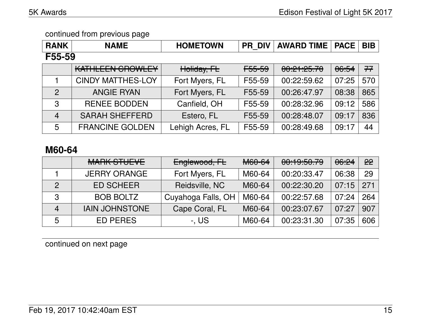| <b>RANK</b>    | <b>NAME</b>              | <b>HOMETOWN</b>  | <b>PR DIV</b> | <b>AWARD TIME</b> | <b>PACE</b> | <b>BIB</b> |  |  |
|----------------|--------------------------|------------------|---------------|-------------------|-------------|------------|--|--|
| F55-59         |                          |                  |               |                   |             |            |  |  |
|                | KATHLEEN GROWLEY         | Holiday, FL      | F55-59        | 00:21:25.70       | 06:54       | 77         |  |  |
|                | <b>CINDY MATTHES-LOY</b> | Fort Myers, FL   | F55-59        | 00:22:59.62       | 07:25       | 570        |  |  |
| $\overline{2}$ | <b>ANGIE RYAN</b>        | Fort Myers, FL   | F55-59        | 00:26:47.97       | 08:38       | 865        |  |  |
| 3              | <b>RENEE BODDEN</b>      | Canfield, OH     | F55-59        | 00:28:32.96       | 09:12       | 586        |  |  |
| $\overline{4}$ | <b>SARAH SHEFFERD</b>    | Estero, FL       | F55-59        | 00:28:48.07       | 09:17       | 836        |  |  |
| 5              | <b>FRANCINE GOLDEN</b>   | Lehigh Acres, FL | F55-59        | 00:28:49.68       | 09:17       | 44         |  |  |

## **M60-64**

|                | MADIZ CTULLI<br>MAITS OT ULVE | Englewood, FL      | <b>M60-64</b> | 0.105070<br>00.13.00.73 | 06:24 | 22  |
|----------------|-------------------------------|--------------------|---------------|-------------------------|-------|-----|
|                | <b>JERRY ORANGE</b>           | Fort Myers, FL     | M60-64        | 00:20:33.47             | 06:38 | 29  |
| $\mathcal{P}$  | <b>ED SCHEER!</b>             | Reidsville, NC     | M60-64        | 00:22:30.20             | 07:15 | 271 |
| 3              | <b>BOB BOLTZ</b>              | Cuyahoga Falls, OH | M60-64        | 00:22:57.68             | 07:24 | 264 |
| $\overline{4}$ | <b>IAIN JOHNSTONE</b>         | Cape Coral, FL     | M60-64        | 00:23:07.67             | 07:27 | 907 |
| 5              | <b>ED PERES</b>               | -. US              | M60-64        | 00:23:31.30             | 07:35 | 606 |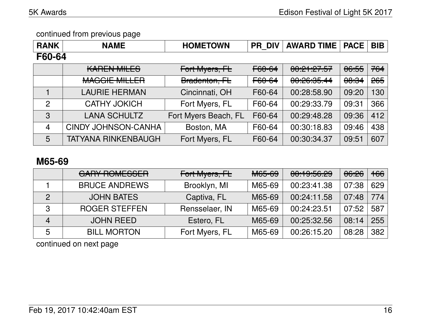| <b>RANK</b>    | <b>NAME</b>                | <b>HOMETOWN</b>      | <b>PR DIV</b>     | <b>AWARD TIME</b> | <b>PACE</b> | <b>BIB</b> |  |  |
|----------------|----------------------------|----------------------|-------------------|-------------------|-------------|------------|--|--|
| F60-64         |                            |                      |                   |                   |             |            |  |  |
|                | <b>KAREN MILES</b>         | Fort Myers, FL       | F60-64            | 00:21:27.57       | 06:55       | 764        |  |  |
|                | <b>MAGGIE MILLER</b>       | Bradenton, FL        | <del>F60-64</del> | 00:26:35.44       | 00:34       | 265        |  |  |
|                | <b>LAURIE HERMAN</b>       | Cincinnati, OH       | F60-64            | 00:28:58.90       | 09:20       | 130        |  |  |
| $\overline{2}$ | <b>CATHY JOKICH</b>        | Fort Myers, FL       | F60-64            | 00:29:33.79       | 09:31       | 366        |  |  |
| 3              | <b>LANA SCHULTZ</b>        | Fort Myers Beach, FL | F60-64            | 00:29:48.28       | 09:36       | 412        |  |  |
| $\overline{4}$ | <b>CINDY JOHNSON-CANHA</b> | Boston, MA           | F60-64            | 00:30:18.83       | 09:46       | 438        |  |  |
| 5              | <b>TATYANA RINKENBAUGH</b> | Fort Myers, FL       | F60-64            | 00:30:34.37       | 09:51       | 607        |  |  |

## **M65-69**

|                | <b>GARY ROMESSER</b> | Fort Myers, FL | <b>M65-69</b> | 00:19:56.29 | 06:26 | <del>166</del> |
|----------------|----------------------|----------------|---------------|-------------|-------|----------------|
|                | <b>BRUCE ANDREWS</b> | Brooklyn, MI   | M65-69        | 00:23:41.38 | 07:38 | 629            |
| 2              | <b>JOHN BATES</b>    | Captiva, FL    | M65-69        | 00:24:11.58 | 07:48 | 774            |
| 3              | <b>ROGER STEFFEN</b> | Rensselaer, IN | M65-69        | 00:24:23.51 | 07:52 | 587            |
| $\overline{4}$ | <b>JOHN REED</b>     | Estero, FL     | M65-69        | 00:25:32.56 | 08:14 | 255            |
| 5              | <b>BILL MORTON</b>   | Fort Myers, FL | M65-69        | 00:26:15.20 | 08:28 | 382            |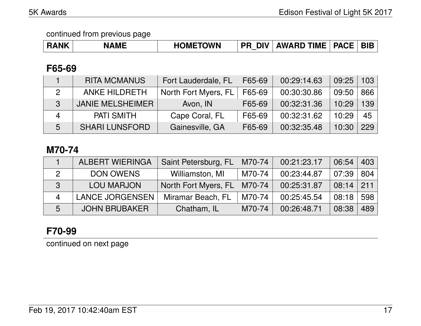| <b>RANK</b> | <b>NAME</b> | <b>HOMETOWN</b> | עומ<br>РF<br>⊓ | <b>AWARD TIME</b> | <b>PACE</b> | <b>BIE</b> |
|-------------|-------------|-----------------|----------------|-------------------|-------------|------------|
|-------------|-------------|-----------------|----------------|-------------------|-------------|------------|

### **F65-69**

|   | <b>RITA MCMANUS</b>     | Fort Lauderdale, FL  | F65-69 | 00:29:14.63 | 09:25 | 103 |
|---|-------------------------|----------------------|--------|-------------|-------|-----|
|   | <b>ANKE HILDRETH</b>    | North Fort Myers, FL | F65-69 | 00:30:30.86 | 09:50 | 866 |
| 3 | <b>JANIE MELSHEIMER</b> | Avon, IN             | F65-69 | 00:32:31.36 | 10:29 | 139 |
| Δ | <b>PATI SMITH</b>       | Cape Coral, FL       | F65-69 | 00:32:31.62 | 10:29 | 45  |
| 5 | <b>SHARI LUNSFORD</b>   | Gainesville, GA      | F65-69 | 00:32:35.48 | 10:30 | 229 |

## **M70-74**

|   | <b>ALBERT WIERINGA</b> | Saint Petersburg, FL | M70-74 | 00:21:23.17 | 06:54 | 403 |
|---|------------------------|----------------------|--------|-------------|-------|-----|
|   | <b>DON OWENS</b>       | Williamston, MI      | M70-74 | 00:23:44.87 | 07:39 | 804 |
| 3 | <b>LOU MARJON</b>      | North Fort Myers, FL | M70-74 | 00:25:31.87 | 08:14 | 211 |
|   | <b>LANCE JORGENSEN</b> | Miramar Beach, FL    | M70-74 | 00:25:45.54 | 08:18 | 598 |
| 5 | <b>JOHN BRUBAKER</b>   | Chatham, IL          | M70-74 | 00:26:48.71 | 08:38 | 489 |

# **F70-99**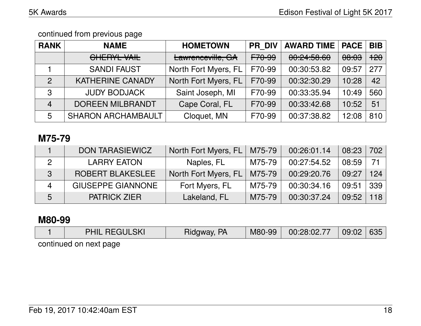| <b>RANK</b>    | <b>NAME</b>                             | <b>HOMETOWN</b>      | <b>PR DIV</b> | <b>AWARD TIME</b>            | <b>PACE</b>      | <b>BIB</b>     |
|----------------|-----------------------------------------|----------------------|---------------|------------------------------|------------------|----------------|
|                | ALIPONI. VAIL<br><del>UNLINE VAIL</del> | Lawrenceville, GA    | F70-99        | 0.045000<br><u>UU.CT.JUU</u> | <del>08:03</del> | <del>120</del> |
|                | <b>SANDI FAUST</b>                      | North Fort Myers, FL | F70-99        | 00:30:53.82                  | 09:57            | 277            |
| $\mathcal{P}$  | <b>KATHERINE CANADY</b>                 | North Fort Myers, FL | F70-99        | 00:32:30.29                  | 10:28            | 42             |
| 3              | <b>JUDY BODJACK</b>                     | Saint Joseph, MI     | F70-99        | 00:33:35.94                  | 10:49            | 560            |
| $\overline{4}$ | <b>DOREEN MILBRANDT</b>                 | Cape Coral, FL       | F70-99        | 00:33:42.68                  | 10:52            | 51             |
| 5              | <b>SHARON ARCHAMBAULT</b>               | Cloquet, MN          | F70-99        | 00:37:38.82                  | 12:08            | 810            |

### **M75-79**

|   | <b>DON TARASIEWICZ</b>   | North Fort Myers, FL | M75-79 | 00:26:01.14 | 08:23 | 702             |
|---|--------------------------|----------------------|--------|-------------|-------|-----------------|
|   | <b>LARRY EATON</b>       | Naples, FL           | M75-79 | 00:27:54.52 | 08:59 | 71              |
| 3 | <b>ROBERT BLAKESLEE</b>  | North Fort Myers, FL | M75-79 | 00:29:20.76 | 09:27 | 124             |
|   | <b>GIUSEPPE GIANNONE</b> | Fort Myers, FL       | M75-79 | 00:30:34.16 | 09:51 | 339             |
| 5 | <b>PATRICK ZIER</b>      | Lakeland, FL         | M75-79 | 00:30:37.24 | 09:52 | 18 <sup>1</sup> |

### **M80-99**

|                        | <b>PHIL REGULSKI</b> | Ridgway, PA | M80-99 | 00:28:02.77 | 09:02 | 635 |
|------------------------|----------------------|-------------|--------|-------------|-------|-----|
| continued on next page |                      |             |        |             |       |     |